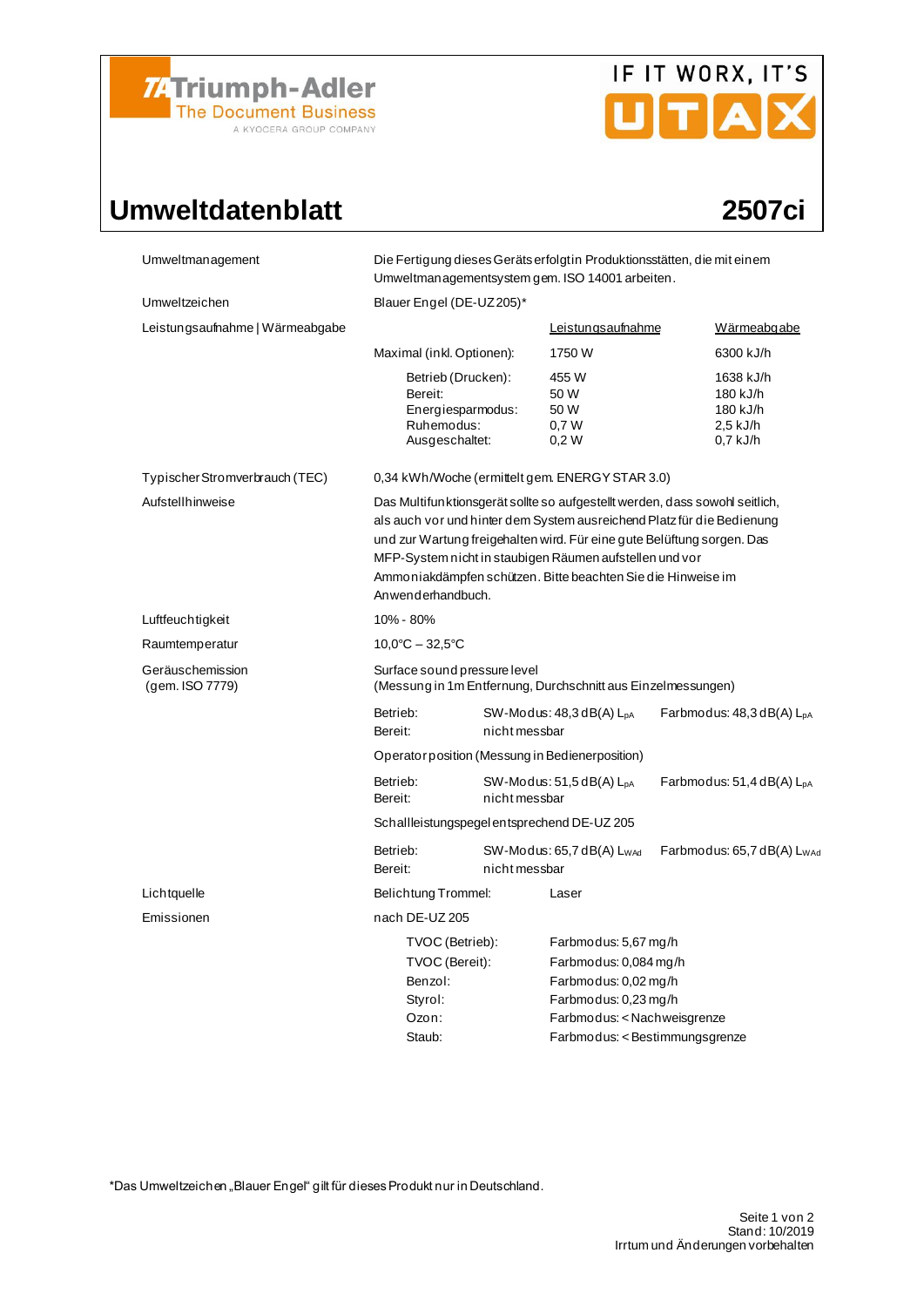

# IF IT WORX, IT'S

## Umweltdatenblatt 2507ci

| Umweltmanagement                    | Die Fertigung dieses Geräts erfolgt in Produktionsstätten, die mit einem<br>Umweltmanagementsystem gem. ISO 14001 arbeiten.                                                                                                                                                                                                                                                     |                                             |                                                                                                                                                                |                                                           |  |  |  |
|-------------------------------------|---------------------------------------------------------------------------------------------------------------------------------------------------------------------------------------------------------------------------------------------------------------------------------------------------------------------------------------------------------------------------------|---------------------------------------------|----------------------------------------------------------------------------------------------------------------------------------------------------------------|-----------------------------------------------------------|--|--|--|
| Umweltzeichen                       | Blauer Engel (DE-UZ205)*                                                                                                                                                                                                                                                                                                                                                        |                                             |                                                                                                                                                                |                                                           |  |  |  |
| Leistungsaufnahme   Wärmeabgabe     |                                                                                                                                                                                                                                                                                                                                                                                 |                                             | Leistungsaufnahme                                                                                                                                              | Wärmeabgabe                                               |  |  |  |
|                                     | Maximal (inkl. Optionen):                                                                                                                                                                                                                                                                                                                                                       |                                             | 1750 W                                                                                                                                                         | 6300 kJ/h                                                 |  |  |  |
|                                     | Betrieb (Drucken):<br>Bereit:<br>Energiesparmodus:<br>Ruhemodus:<br>Ausgeschaltet:                                                                                                                                                                                                                                                                                              |                                             | 455 W<br>50 W<br>50 W<br>0,7W<br>0,2W                                                                                                                          | 1638 kJ/h<br>180 kJ/h<br>180 kJ/h<br>2,5 kJ/h<br>0,7 kJ/h |  |  |  |
| Typischer Stromverbrauch (TEC)      | 0,34 kWh/Woche (ermittelt gem. ENERGY STAR 3.0)                                                                                                                                                                                                                                                                                                                                 |                                             |                                                                                                                                                                |                                                           |  |  |  |
| Aufstellhinweise                    | Das Multifunktionsgerät sollte so aufgestellt werden, dass sowohl seitlich,<br>als auch vor und hinter dem System ausreichend Platz für die Bedienung<br>und zur Wartung freigehalten wird. Für eine gute Belüftung sorgen. Das<br>MFP-System nicht in staubigen Räumen aufstellen und vor<br>Ammoniakdämpfen schützen. Bitte beachten Sie die Hinweise im<br>Anwenderhandbuch. |                                             |                                                                                                                                                                |                                                           |  |  |  |
| Luftfeuchtigkeit                    | 10% - 80%                                                                                                                                                                                                                                                                                                                                                                       |                                             |                                                                                                                                                                |                                                           |  |  |  |
| Raumtemperatur                      | $10.0^{\circ}$ C - 32,5 $^{\circ}$ C                                                                                                                                                                                                                                                                                                                                            |                                             |                                                                                                                                                                |                                                           |  |  |  |
| Geräuschemission<br>(gem. ISO 7779) | Surface sound pressure level<br>(Messung in 1m Entfernung, Durchschnitt aus Einzelmessungen)                                                                                                                                                                                                                                                                                    |                                             |                                                                                                                                                                |                                                           |  |  |  |
|                                     | Betrieb:<br>Bereit:                                                                                                                                                                                                                                                                                                                                                             | nicht messbar                               | $SW-Modus: 48,3 dB(A) LDA$                                                                                                                                     | Farbmodus: $48,3$ dB(A) $L_{DA}$                          |  |  |  |
|                                     | Operator position (Messung in Bedienerposition)                                                                                                                                                                                                                                                                                                                                 |                                             |                                                                                                                                                                |                                                           |  |  |  |
|                                     | Betrieb:<br>Bereit:                                                                                                                                                                                                                                                                                                                                                             | $SW-Modus: 51, 5dB(A) LDA$<br>nicht messbar |                                                                                                                                                                | Farbmodus: $51,4$ dB(A) $L_{pA}$                          |  |  |  |
|                                     | Schallleistungspegel entsprechend DE-UZ 205                                                                                                                                                                                                                                                                                                                                     |                                             |                                                                                                                                                                |                                                           |  |  |  |
|                                     | Betrieb:<br>Bereit:                                                                                                                                                                                                                                                                                                                                                             | nicht messbar                               | $SW-Modus: 65,7 dB(A) L_{WAd}$                                                                                                                                 | Farbmodus: 65,7 dB(A) L <sub>WAc</sub>                    |  |  |  |
| Lichtquelle                         | Belichtung Trommel:                                                                                                                                                                                                                                                                                                                                                             |                                             | Laser                                                                                                                                                          |                                                           |  |  |  |
| Emissionen                          | nach DE-UZ 205                                                                                                                                                                                                                                                                                                                                                                  |                                             |                                                                                                                                                                |                                                           |  |  |  |
|                                     | TVOC (Betrieb):<br>TVOC (Bereit):<br>Benzol:<br>Styrol:<br>Ozon:<br>Staub:                                                                                                                                                                                                                                                                                                      |                                             | Farbmodus: 5,67 mg/h<br>Farbmodus: 0,084 mg/h<br>Farbmodus: 0,02 mg/h<br>Farbmodus: 0,23 mg/h<br>Farbmodus: < Nachweisgrenze<br>Farbmodus: < Bestimmungsgrenze |                                                           |  |  |  |

\*Das Umweltzeichen "Blauer Engel" gilt für dieses Produkt nur in Deutschland.